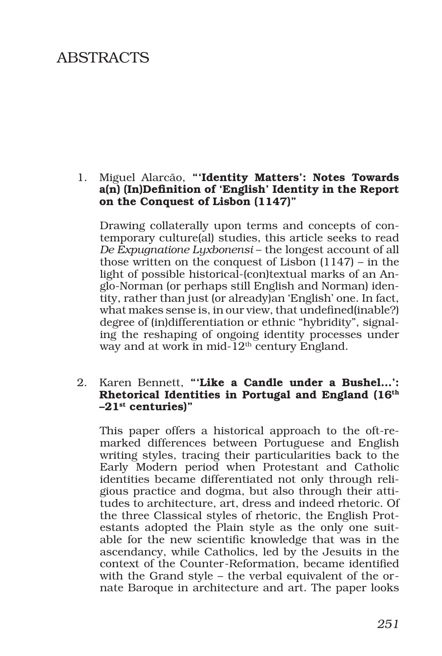# ABSTRACTS

#### 1. Miguel Alarcão, "'Identity Matters': Notes Towards a(n) (In)Definition of 'English' Identity in the Report on the Conquest of Lisbon (1147)"

Drawing collaterally upon terms and concepts of contemporary culture(al) studies, this article seeks to read *De Expugnatione Lyxbonensi* – the longest account of all those written on the conquest of Lisbon (1147) – in the light of possible historical-(con)textual marks of an Anglo-Norman (or perhaps still English and Norman) identity, rather than just (or already)an 'English' one. In fact, what makes sense is, in our view, that undefined(inable?) degree of (in)differentiation or ethnic "hybridity", signaling the reshaping of ongoing identity processes under way and at work in mid-12<sup>th</sup> century England.

## 2. Karen Bennett, "'Like a Candle under a Bushel...': Rhetorical Identities in Portugal and England (16<sup>th</sup>  $-21$ <sup>st</sup> centuries)"

This paper offers a historical approach to the oft-remarked differences between Portuguese and English writing styles, tracing their particularities back to the Early Modern period when Protestant and Catholic identities became differentiated not only through religious practice and dogma, but also through their attitudes to architecture, art, dress and indeed rhetoric. Of the three Classical styles of rhetoric, the English Protestants adopted the Plain style as the only one suitable for the new scientific knowledge that was in the ascendancy, while Catholics, led by the Jesuits in the context of the Counter-Reformation, became identified with the Grand style – the verbal equivalent of the ornate Baroque in architecture and art. The paper looks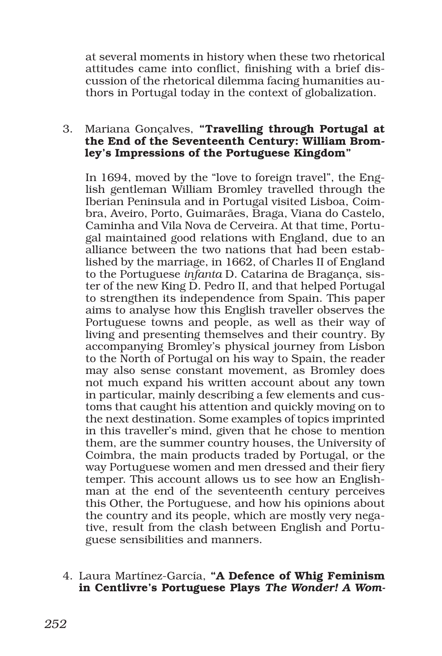at several moments in history when these two rhetorical attitudes came into conflict, finishing with a brief discussion of the rhetorical dilemma facing humanities authors in Portugal today in the context of globalization.

## 3. Mariana Gonçalves, "Travelling through Portugal at the End of the Seventeenth Century: William Bromley's Impressions of the Portuguese Kingdom"

In 1694, moved by the "love to foreign travel", the English gentleman William Bromley travelled through the Iberian Peninsula and in Portugal visited Lisboa, Coimbra, Aveiro, Porto, Guimarães, Braga, Viana do Castelo, Caminha and Vila Nova de Cerveira. At that time, Portugal maintained good relations with England, due to an alliance between the two nations that had been established by the marriage, in 1662, of Charles II of England to the Portuguese *infanta* D. Catarina de Bragança, sister of the new King D. Pedro II, and that helped Portugal to strengthen its independence from Spain. This paper aims to analyse how this English traveller observes the Portuguese towns and people, as well as their way of living and presenting themselves and their country. By accompanying Bromley's physical journey from Lisbon to the North of Portugal on his way to Spain, the reader may also sense constant movement, as Bromley does not much expand his written account about any town in particular, mainly describing a few elements and customs that caught his attention and quickly moving on to the next destination. Some examples of topics imprinted in this traveller's mind, given that he chose to mention them, are the summer country houses, the University of Coimbra, the main products traded by Portugal, or the way Portuguese women and men dressed and their fiery temper. This account allows us to see how an Englishman at the end of the seventeenth century perceives this Other, the Portuguese, and how his opinions about the country and its people, which are mostly very negative, result from the clash between English and Portuguese sensibilities and manners.

4. Laura Martínez-García, "A Defence of Whig Feminism in Centlivre's Portuguese Plays *The Wonder! A Wom-*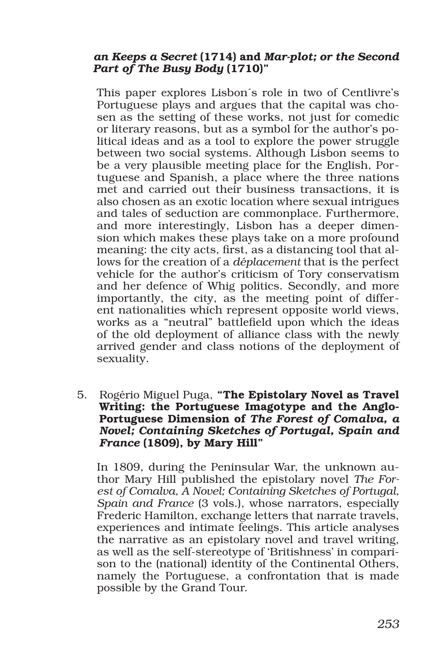## *an Keeps a Secret* (1714) and *Mar-plot; or the Second Part of The Busy Body* (1710)"

This paper explores Lisbon´s role in two of Centlivre's Portuguese plays and argues that the capital was chosen as the setting of these works, not just for comedic or literary reasons, but as a symbol for the author's political ideas and as a tool to explore the power struggle between two social systems. Although Lisbon seems to be a very plausible meeting place for the English, Portuguese and Spanish, a place where the three nations met and carried out their business transactions, it is also chosen as an exotic location where sexual intrigues and tales of seduction are commonplace. Furthermore, and more interestingly, Lisbon has a deeper dimension which makes these plays take on a more profound meaning: the city acts, first, as a distancing tool that allows for the creation of a *déplacement* that is the perfect vehicle for the author's criticism of Tory conservatism and her defence of Whig politics. Secondly, and more importantly, the city, as the meeting point of different nationalities which represent opposite world views, works as a "neutral" battlefield upon which the ideas of the old deployment of alliance class with the newly arrived gender and class notions of the deployment of sexuality.

5. Rogério Miguel Puga, "The Epistolary Novel as Travel Writing: the Portuguese Imagotype and the Anglo-Portuguese Dimension of *The Forest of Comalva, a Novel; Containing Sketches of Portugal, Spain and France* (1809), by Mary Hill"

In 1809, during the Peninsular War, the unknown author Mary Hill published the epistolary novel *The Forest of Comalva, A Novel; Containing Sketches of Portugal, Spain and France* (3 vols.), whose narrators, especially Frederic Hamilton, exchange letters that narrate travels, experiences and intimate feelings. This article analyses the narrative as an epistolary novel and travel writing, as well as the self-stereotype of 'Britishness' in comparison to the (national) identity of the Continental Others, namely the Portuguese, a confrontation that is made possible by the Grand Tour.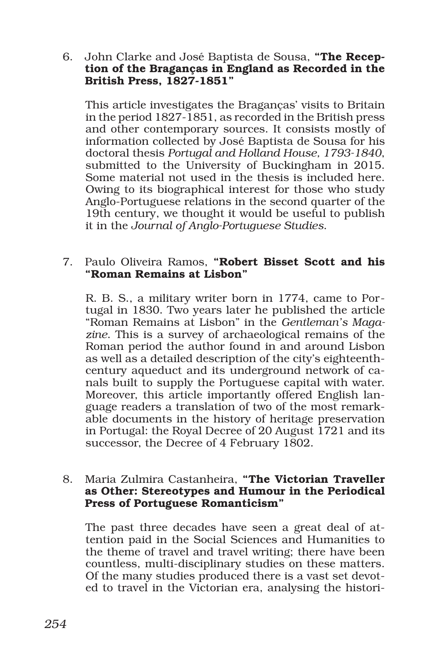#### 6. John Clarke and José Baptista de Sousa, "The Reception of the Braganças in England as Recorded in the British Press, 1827-1851"

This article investigates the Braganças' visits to Britain in the period 1827-1851, as recorded in the British press and other contemporary sources. It consists mostly of information collected by José Baptista de Sousa for his doctoral thesis *Portugal and Holland House, 1793-1840*, submitted to the University of Buckingham in 2015. Some material not used in the thesis is included here. Owing to its biographical interest for those who study Anglo-Portuguese relations in the second quarter of the 19th century, we thought it would be useful to publish it in the *Journal of Anglo-Portuguese Studies*.

## 7. Paulo Oliveira Ramos, "Robert Bisset Scott and his "Roman Remains at Lisbon"

R. B. S., a military writer born in 1774, came to Portugal in 1830. Two years later he published the article "Roman Remains at Lisbon" in the *Gentleman's Magazine*. This is a survey of archaeological remains of the Roman period the author found in and around Lisbon as well as a detailed description of the city's eighteenthcentury aqueduct and its underground network of canals built to supply the Portuguese capital with water. Moreover, this article importantly offered English language readers a translation of two of the most remarkable documents in the history of heritage preservation in Portugal: the Royal Decree of 20 August 1721 and its successor, the Decree of 4 February 1802.

#### 8. Maria Zulmira Castanheira, "The Victorian Traveller as Other: Stereotypes and Humour in the Periodical Press of Portuguese Romanticism"

The past three decades have seen a great deal of attention paid in the Social Sciences and Humanities to the theme of travel and travel writing; there have been countless, multi-disciplinary studies on these matters. Of the many studies produced there is a vast set devoted to travel in the Victorian era, analysing the histori-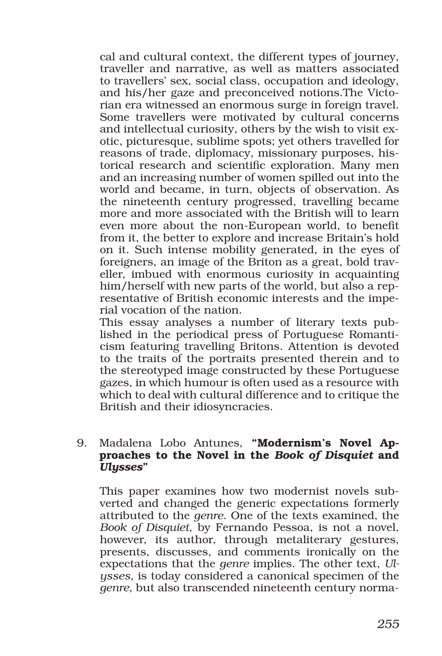cal and cultural context, the different types of journey, traveller and narrative, as well as matters associated to travellers' sex, social class, occupation and ideology, and his/her gaze and preconceived notions.The Victorian era witnessed an enormous surge in foreign travel. Some travellers were motivated by cultural concerns and intellectual curiosity, others by the wish to visit exotic, picturesque, sublime spots; yet others travelled for reasons of trade, diplomacy, missionary purposes, historical research and scientific exploration. Many men and an increasing number of women spilled out into the world and became, in turn, objects of observation. As the nineteenth century progressed, travelling became more and more associated with the British will to learn even more about the non-European world, to benefit from it, the better to explore and increase Britain's hold on it. Such intense mobility generated, in the eyes of foreigners, an image of the Briton as a great, bold traveller, imbued with enormous curiosity in acquainting him/herself with new parts of the world, but also a representative of British economic interests and the imperial vocation of the nation.

This essay analyses a number of literary texts published in the periodical press of Portuguese Romanticism featuring travelling Britons. Attention is devoted to the traits of the portraits presented therein and to the stereotyped image constructed by these Portuguese gazes, in which humour is often used as a resource with which to deal with cultural difference and to critique the British and their idiosyncracies.

## 9. Madalena Lobo Antunes, "Modernism's Novel Approaches to the Novel in the *Book of Disquiet* and *Ulysses*"

This paper examines how two modernist novels subverted and changed the generic expectations formerly attributed to the *genre*. One of the texts examined, the *Book of Disquiet*, by Fernando Pessoa, is not a novel, however, its author, through metaliterary gestures, presents, discusses, and comments ironically on the expectations that the *genre* implies. The other text, *Ulysses*, is today considered a canonical specimen of the *genre*, but also transcended nineteenth century norma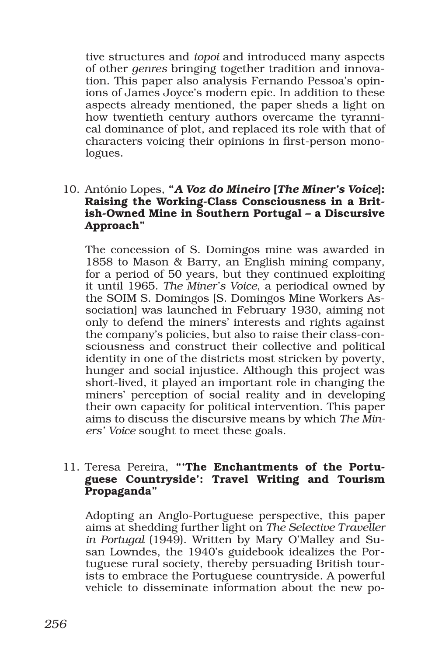tive structures and *topoi* and introduced many aspects of other *genres* bringing together tradition and innovation. This paper also analysis Fernando Pessoa's opinions of James Joyce's modern epic. In addition to these aspects already mentioned, the paper sheds a light on how twentieth century authors overcame the tyrannical dominance of plot, and replaced its role with that of characters voicing their opinions in first-person monologues.

#### 10. António Lopes, "*A Voz do Mineiro* [*The Miner's Voice*]: Raising the Working-Class Consciousness in a British-Owned Mine in Southern Portugal – a Discursive Approach"

The concession of S. Domingos mine was awarded in 1858 to Mason & Barry, an English mining company, for a period of 50 years, but they continued exploiting it until 1965. *The Miner's Voice*, a periodical owned by the SOIM S. Domingos [S. Domingos Mine Workers Association] was launched in February 1930, aiming not only to defend the miners' interests and rights against the company's policies, but also to raise their class-consciousness and construct their collective and political identity in one of the districts most stricken by poverty, hunger and social injustice. Although this project was short-lived, it played an important role in changing the miners' perception of social reality and in developing their own capacity for political intervention. This paper aims to discuss the discursive means by which *The Miners' Voice* sought to meet these goals.

#### 11. Teresa Pereira, "'The Enchantments of the Portuguese Countryside': Travel Writing and Tourism Propaganda"

Adopting an Anglo-Portuguese perspective, this paper aims at shedding further light on *The Selective Traveller in Portugal* (1949). Written by Mary O'Malley and Susan Lowndes, the 1940's guidebook idealizes the Portuguese rural society, thereby persuading British tourists to embrace the Portuguese countryside. A powerful vehicle to disseminate information about the new po